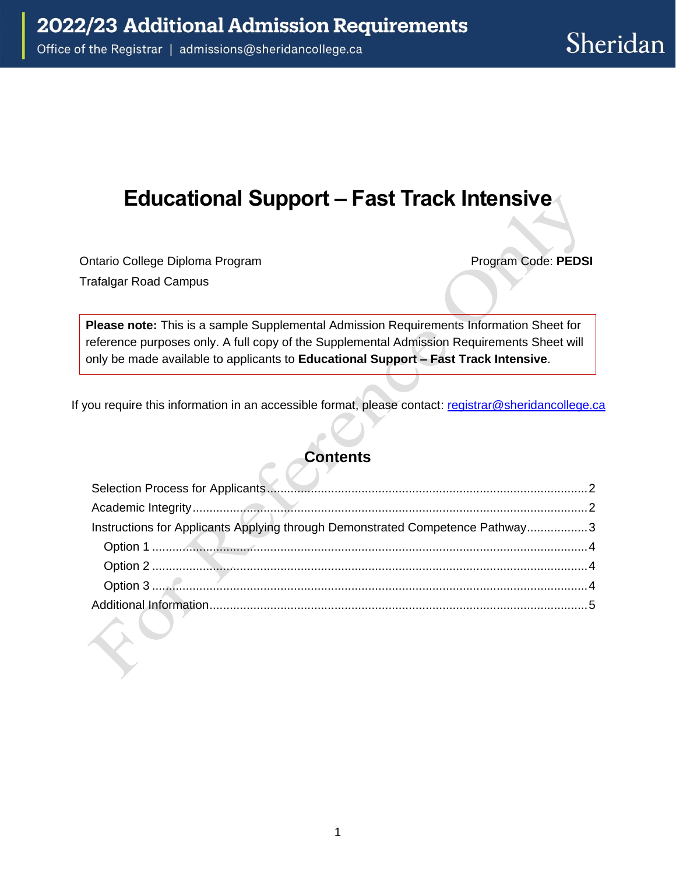# **Educational Support – Fast Track Intensive**

Ontario College Diploma Program Program Code: **PEDSI**  Trafalgar Road Campus

**Please note:** This is a sample Supplemental Admission Requirements Information Sheet for reference purposes only. A full copy of the Supplemental Admission Requirements Sheet will only be made available to applicants to **Educational Support – Fast Track Intensive**.

If you require this information in an accessible format, please contact: registrar@sheridancollege.ca

### **Contents**

| Instructions for Applicants Applying through Demonstrated Competence Pathway3 |  |
|-------------------------------------------------------------------------------|--|
|                                                                               |  |
|                                                                               |  |
|                                                                               |  |
|                                                                               |  |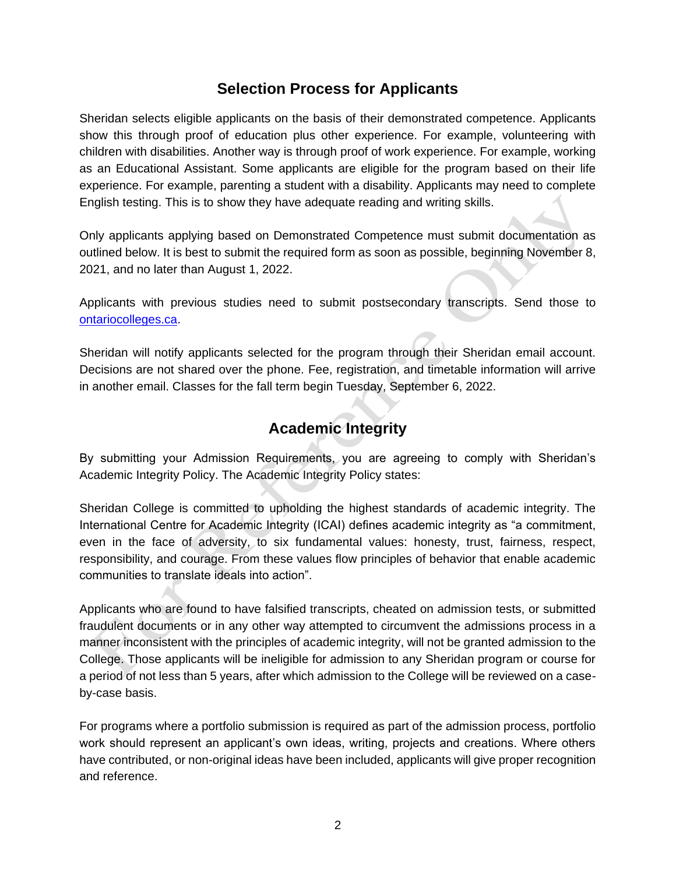### **Selection Process for Applicants**

<span id="page-1-0"></span> Sheridan selects eligible applicants on the basis of their demonstrated competence. Applicants show this through proof of education plus other experience. For example, volunteering with as an Educational Assistant. Some applicants are eligible for the program based on their life experience. For example, parenting a student with a disability. Applicants may need to complete children with disabilities. Another way is through proof of work experience. For example, working English testing. This is to show they have adequate reading and writing skills.

 outlined below. It is best to submit the required form as soon as possible, beginning November 8, Only applicants applying based on Demonstrated Competence must submit documentation as 2021, and no later than August 1, 2022.

 Applicants with previous studies need to submit postsecondary transcripts. Send those to [ontariocolleges.ca.](https://ontariocolleges.ca/en/)

 Decisions are not shared over the phone. Fee, registration, and timetable information will arrive Sheridan will notify applicants selected for the program through their Sheridan email account. in another email. Classes for the fall term begin Tuesday, September 6, 2022.

### **Academic Integrity**

<span id="page-1-1"></span>By submitting your Admission Requirements, you are agreeing to comply with Sheridan's Academic Integrity Policy. The Academic Integrity Policy states:

 Sheridan College is committed to upholding the highest standards of academic integrity. The International Centre for Academic Integrity (ICAI) defines academic integrity as "a commitment, even in the face of adversity, to six fundamental values: honesty, trust, fairness, respect, communities to translate ideals into action". responsibility, and courage. From these values flow principles of behavior that enable academic

 Applicants who are found to have falsified transcripts, cheated on admission tests, or submitted fraudulent documents or in any other way attempted to circumvent the admissions process in a manner inconsistent with the principles of academic integrity, will not be granted admission to the College. Those applicants will be ineligible for admission to any Sheridan program or course for a period of not less than 5 years, after which admission to the College will be reviewed on a caseby-case basis.

 For programs where a portfolio submission is required as part of the admission process, portfolio work should represent an applicant's own ideas, writing, projects and creations. Where others have contributed, or non-original ideas have been included, applicants will give proper recognition and reference.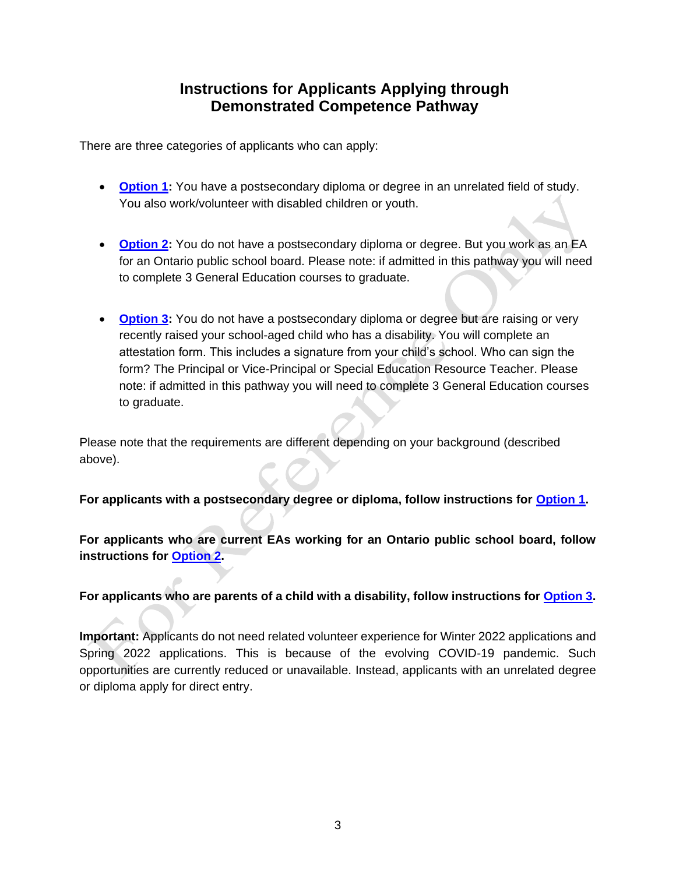### **Instructions for Applicants Applying through Demonstrated Competence Pathway**

<span id="page-2-0"></span>There are three categories of applicants who can apply:

- **[Option 1:](#page-3-0)** You have a postsecondary diploma or degree in an unrelated field of study. You also work/volunteer with disabled children or youth.
- **[Option 2:](#page-3-1)** You do not have a postsecondary diploma or degree. But you work as an EA for an Ontario public school board. Please note: if admitted in this pathway you will need to complete 3 General Education courses to graduate.
- **[Option 3:](#page-3-2)** You do not have a postsecondary diploma or degree but are raising or very recently raised your school-aged child who has a disability. You will complete an attestation form. This includes a signature from your child's school. Who can sign the form? The Principal or Vice-Principal or Special Education Resource Teacher. Please note: if admitted in this pathway you will need to complete 3 General Education courses to graduate.

Please note that the requirements are different depending on your background (described above).

**For applicants with a postsecondary degree or diploma, follow instructions for [Option 1.](#page-3-0)** 

**instructions for [Option 2.](#page-3-1) For applicants who are current EAs working for an Ontario public school board, follow** 

#### **For applicants who are parents of a child with a disability, follow instructions for [Option 3.](#page-3-2)**

 Spring 2022 applications. This is because of the evolving COVID-19 pandemic. Such **Important:** Applicants do not need related volunteer experience for Winter 2022 applications and opportunities are currently reduced or unavailable. Instead, applicants with an unrelated degree or diploma apply for direct entry.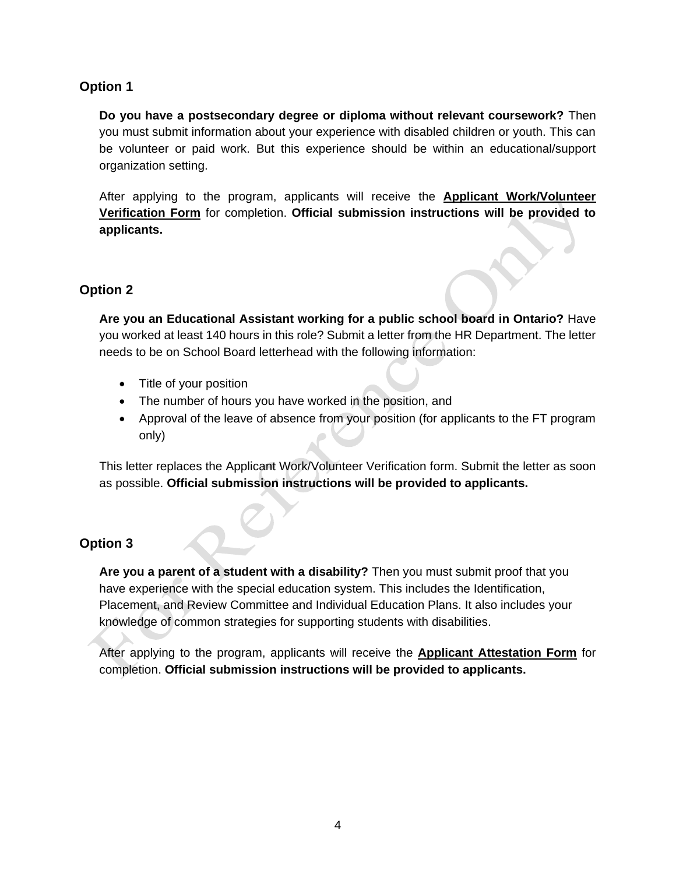#### <span id="page-3-0"></span>**Option 1**

**Do you have a postsecondary degree or diploma without relevant coursework?** Then you must submit information about your experience with disabled children or youth. This can be volunteer or paid work. But this experience should be within an educational/support organization setting.

 After applying to the program, applicants will receive the **Applicant Work/Volunteer**  ~ **Verification Form** for completion. **Official submission instructions will be provided to applicants.** 

#### <span id="page-3-1"></span>**Option 2**

**Fion 2**<br> **Are you an Educational Assistant working for a public school board in Ontario?** Have you worked at least 140 hours in this role? Submit a letter from the HR Department. The letter needs to be on School Board letterhead with the following information:<br>
<sub>1</sub>

- $\bullet$  Title of your position
- The number of hours you have worked in the position, and
- Approval of the leave of absence from your position (for applicants to the FT program only)

This letter replaces the Applicant Work/Volunteer Verification form. Submit the letter as soon as possible. Official submission instructions will be provided to applicants.

#### <span id="page-3-2"></span>**Option 3**

Are you a parent of a student with a disability? Then you must submit proof that you have experience with the special education system. This includes the Identification, Placement, and Review Committee and Individual Education Plans. It also includes your knowledge of common strategies for supporting students with disabilities.

After applying to the program, applicants will receive the **Applicant Attestation Form** for completion. Official submission instructions will be provided to applicants.